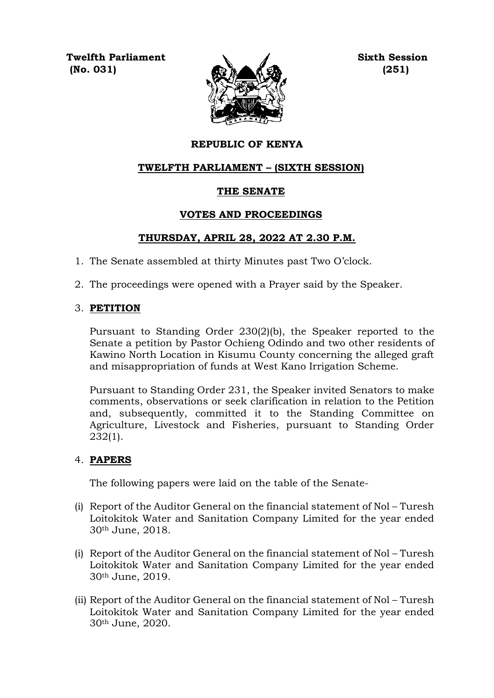**Twelfth Parliament Sixth Session**  $(0.031)$   $(251)$ 



## **REPUBLIC OF KENYA**

## **TWELFTH PARLIAMENT – (SIXTH SESSION)**

## **THE SENATE**

## **VOTES AND PROCEEDINGS**

## **THURSDAY, APRIL 28, 2022 AT 2.30 P.M.**

- 1. The Senate assembled at thirty Minutes past Two O'clock.
- 2. The proceedings were opened with a Prayer said by the Speaker.

## 3. **PETITION**

Pursuant to Standing Order 230(2)(b), the Speaker reported to the Senate a petition by Pastor Ochieng Odindo and two other residents of Kawino North Location in Kisumu County concerning the alleged graft and misappropriation of funds at West Kano Irrigation Scheme.

Pursuant to Standing Order 231, the Speaker invited Senators to make comments, observations or seek clarification in relation to the Petition and, subsequently, committed it to the Standing Committee on Agriculture, Livestock and Fisheries, pursuant to Standing Order 232(1).

## 4. **PAPERS**

The following papers were laid on the table of the Senate-

- (i) Report of the Auditor General on the financial statement of Nol Turesh Loitokitok Water and Sanitation Company Limited for the year ended 30th June, 2018.
- (i) Report of the Auditor General on the financial statement of Nol Turesh Loitokitok Water and Sanitation Company Limited for the year ended 30th June, 2019.
- (ii) Report of the Auditor General on the financial statement of Nol Turesh Loitokitok Water and Sanitation Company Limited for the year ended 30th June, 2020.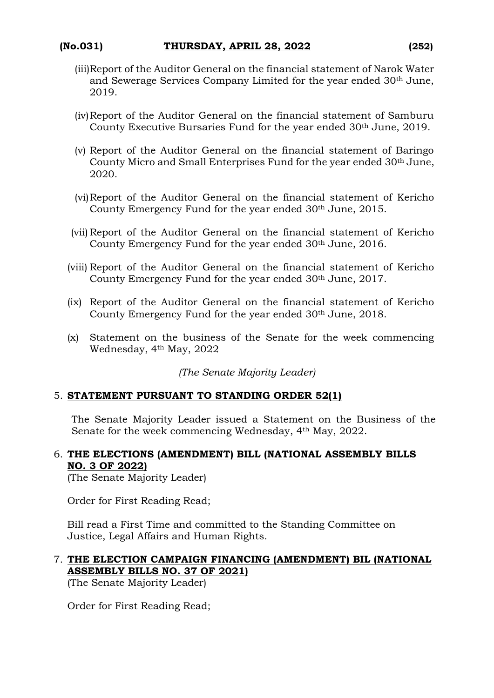- (iii)Report of the Auditor General on the financial statement of Narok Water and Sewerage Services Company Limited for the year ended 30th June, 2019.
- (iv)Report of the Auditor General on the financial statement of Samburu County Executive Bursaries Fund for the year ended 30th June, 2019.
- (v) Report of the Auditor General on the financial statement of Baringo County Micro and Small Enterprises Fund for the year ended 30th June, 2020.
- (vi)Report of the Auditor General on the financial statement of Kericho County Emergency Fund for the year ended 30<sup>th</sup> June, 2015.
- (vii) Report of the Auditor General on the financial statement of Kericho County Emergency Fund for the year ended 30th June, 2016.
- (viii) Report of the Auditor General on the financial statement of Kericho County Emergency Fund for the year ended 30<sup>th</sup> June, 2017.
- (ix) Report of the Auditor General on the financial statement of Kericho County Emergency Fund for the year ended 30th June, 2018.
- (x) Statement on the business of the Senate for the week commencing Wednesday, 4th May, 2022

*(The Senate Majority Leader)*

#### 5. **STATEMENT PURSUANT TO STANDING ORDER 52(1)**

The Senate Majority Leader issued a Statement on the Business of the Senate for the week commencing Wednesday, 4th May, 2022.

# 6. **THE ELECTIONS (AMENDMENT) BILL (NATIONAL ASSEMBLY BILLS NO. 3 OF 2022)**

(The Senate Majority Leader)

Order for First Reading Read;

Bill read a First Time and committed to the Standing Committee on Justice, Legal Affairs and Human Rights.

## 7. **THE ELECTION CAMPAIGN FINANCING (AMENDMENT) BIL (NATIONAL ASSEMBLY BILLS NO. 37 OF 2021)**

(The Senate Majority Leader)

Order for First Reading Read;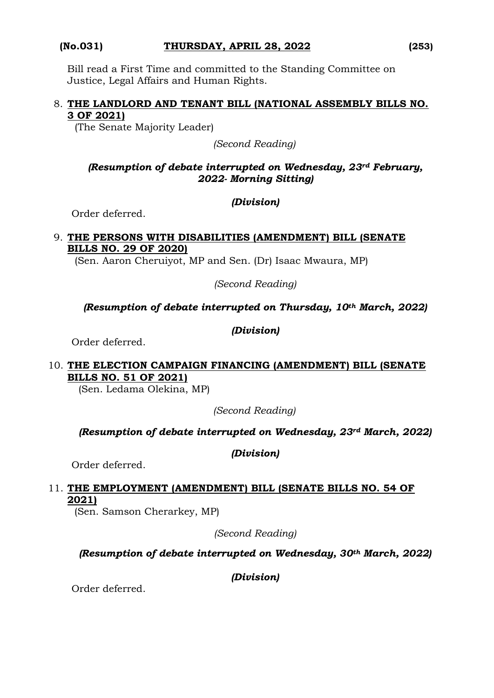## **(No.031) THURSDAY, APRIL 28, 2022 (253)**

Bill read a First Time and committed to the Standing Committee on Justice, Legal Affairs and Human Rights.

## 8. **THE LANDLORD AND TENANT BILL (NATIONAL ASSEMBLY BILLS NO. 3 OF 2021)**

(The Senate Majority Leader)

*(Second Reading)*

## *(Resumption of debate interrupted on Wednesday, 23rd February, 2022- Morning Sitting)*

## *(Division)*

Order deferred.

## 9. **THE PERSONS WITH DISABILITIES (AMENDMENT) BILL (SENATE BILLS NO. 29 OF 2020)**

(Sen. Aaron Cheruiyot, MP and Sen. (Dr) Isaac Mwaura, MP)

*(Second Reading)*

# *(Resumption of debate interrupted on Thursday, 10th March, 2022)*

## *(Division)*

Order deferred.

## 10. **THE ELECTION CAMPAIGN FINANCING (AMENDMENT) BILL (SENATE BILLS NO. 51 OF 2021)**

(Sen. Ledama Olekina, MP)

*(Second Reading)*

## *(Resumption of debate interrupted on Wednesday, 23rd March, 2022)*

*(Division)*

Order deferred.

# 11. **THE EMPLOYMENT (AMENDMENT) BILL (SENATE BILLS NO. 54 OF 2021)**

(Sen. Samson Cherarkey, MP)

*(Second Reading)*

# *(Resumption of debate interrupted on Wednesday, 30th March, 2022)*

*(Division)*

Order deferred.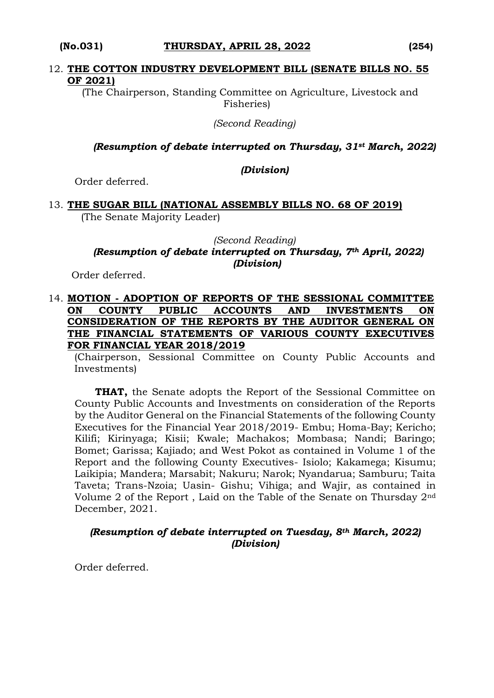#### 12. **THE COTTON INDUSTRY DEVELOPMENT BILL (SENATE BILLS NO. 55 OF 2021)**

 (The Chairperson, Standing Committee on Agriculture, Livestock and Fisheries)

*(Second Reading)*

*(Resumption of debate interrupted on Thursday, 31st March, 2022)*

#### *(Division)*

Order deferred.

#### 13. **THE SUGAR BILL (NATIONAL ASSEMBLY BILLS NO. 68 OF 2019)** (The Senate Majority Leader)

#### *(Second Reading) (Resumption of debate interrupted on Thursday, 7th April, 2022) (Division)*

Order deferred.

### 14. **MOTION - ADOPTION OF REPORTS OF THE SESSIONAL COMMITTEE ON COUNTY PUBLIC ACCOUNTS AND INVESTMENTS ON CONSIDERATION OF THE REPORTS BY THE AUDITOR GENERAL ON THE FINANCIAL STATEMENTS OF VARIOUS COUNTY EXECUTIVES FOR FINANCIAL YEAR 2018/2019**

(Chairperson, Sessional Committee on County Public Accounts and Investments)

**THAT,** the Senate adopts the Report of the Sessional Committee on County Public Accounts and Investments on consideration of the Reports by the Auditor General on the Financial Statements of the following County Executives for the Financial Year 2018/2019- Embu; Homa-Bay; Kericho; Kilifi; Kirinyaga; Kisii; Kwale; Machakos; Mombasa; Nandi; Baringo; Bomet; Garissa; Kajiado; and West Pokot as contained in Volume 1 of the Report and the following County Executives- Isiolo; Kakamega; Kisumu; Laikipia; Mandera; Marsabit; Nakuru; Narok; Nyandarua; Samburu; Taita Taveta; Trans-Nzoia; Uasin- Gishu; Vihiga; and Wajir, as contained in Volume 2 of the Report , Laid on the Table of the Senate on Thursday 2nd December, 2021.

## *(Resumption of debate interrupted on Tuesday, 8th March, 2022) (Division)*

Order deferred.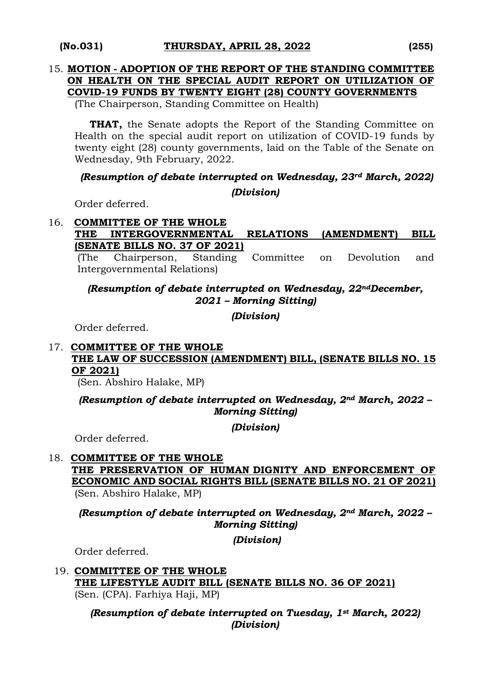#### 15. **MOTION - ADOPTION OF THE REPORT OF THE STANDING COMMITTEE ON HEALTH ON THE SPECIAL AUDIT REPORT ON UTILIZATION OF COVID-19 FUNDS BY TWENTY EIGHT (28) COUNTY GOVERNMENTS**

(The Chairperson, Standing Committee on Health)

**THAT,** the Senate adopts the Report of the Standing Committee on Health on the special audit report on utilization of COVID-19 funds by twenty eight (28) county governments, laid on the Table of the Senate on Wednesday, 9th February, 2022.

# *(Resumption of debate interrupted on Wednesday, 23rd March, 2022) (Division)*

Order deferred.

#### 16. **COMMITTEE OF THE WHOLE THE INTERGOVERNMENTAL RELATIONS (AMENDMENT) BILL (SENATE BILLS NO. 37 OF 2021)**

(The Chairperson, Standing Committee on Devolution and Intergovernmental Relations)

## *(Resumption of debate interrupted on Wednesday, 22ndDecember, 2021 – Morning Sitting)*

*(Division)*

Order deferred.

## 17. **COMMITTEE OF THE WHOLE THE LAW OF SUCCESSION (AMENDMENT) BILL, (SENATE BILLS NO. 15 OF 2021)**

(Sen. Abshiro Halake, MP)

*(Resumption of debate interrupted on Wednesday, 2nd March, 2022 – Morning Sitting)*

*(Division)*

Order deferred.

## 18. **COMMITTEE OF THE WHOLE THE PRESERVATION OF HUMAN DIGNITY AND ENFORCEMENT OF ECONOMIC AND SOCIAL RIGHTS BILL (SENATE BILLS NO. 21 OF 2021)**  (Sen. Abshiro Halake, MP)

*(Resumption of debate interrupted on Wednesday, 2nd March, 2022 – Morning Sitting)* 

*(Division)*

Order deferred.

19. **COMMITTEE OF THE WHOLE THE LIFESTYLE AUDIT BILL (SENATE BILLS NO. 36 OF 2021)**  (Sen. (CPA). Farhiya Haji, MP)

> *(Resumption of debate interrupted on Tuesday, 1st March, 2022) (Division)*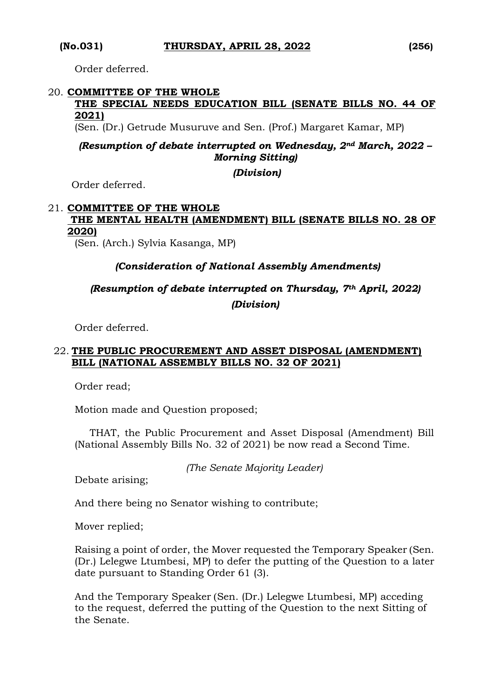Order deferred.

## 20. **COMMITTEE OF THE WHOLE**

### **THE SPECIAL NEEDS EDUCATION BILL (SENATE BILLS NO. 44 OF 2021)**

(Sen. (Dr.) Getrude Musuruve and Sen. (Prof.) Margaret Kamar, MP)

*(Resumption of debate interrupted on Wednesday, 2nd March, 2022 – Morning Sitting)* 

*(Division)*

Order deferred.

## 21. **COMMITTEE OF THE WHOLE THE MENTAL HEALTH (AMENDMENT) BILL (SENATE BILLS NO. 28 OF 2020)**

(Sen. (Arch.) Sylvia Kasanga, MP)

## *(Consideration of National Assembly Amendments)*

# *(Resumption of debate interrupted on Thursday, 7th April, 2022) (Division)*

Order deferred.

## 22. **THE PUBLIC PROCUREMENT AND ASSET DISPOSAL (AMENDMENT) BILL (NATIONAL ASSEMBLY BILLS NO. 32 OF 2021)**

Order read;

Motion made and Question proposed;

THAT, the Public Procurement and Asset Disposal (Amendment) Bill (National Assembly Bills No. 32 of 2021) be now read a Second Time.

*(The Senate Majority Leader)*

Debate arising;

And there being no Senator wishing to contribute;

Mover replied;

Raising a point of order, the Mover requested the Temporary Speaker (Sen. (Dr.) Lelegwe Ltumbesi, MP) to defer the putting of the Question to a later date pursuant to Standing Order 61 (3).

And the Temporary Speaker (Sen. (Dr.) Lelegwe Ltumbesi, MP) acceding to the request, deferred the putting of the Question to the next Sitting of the Senate.